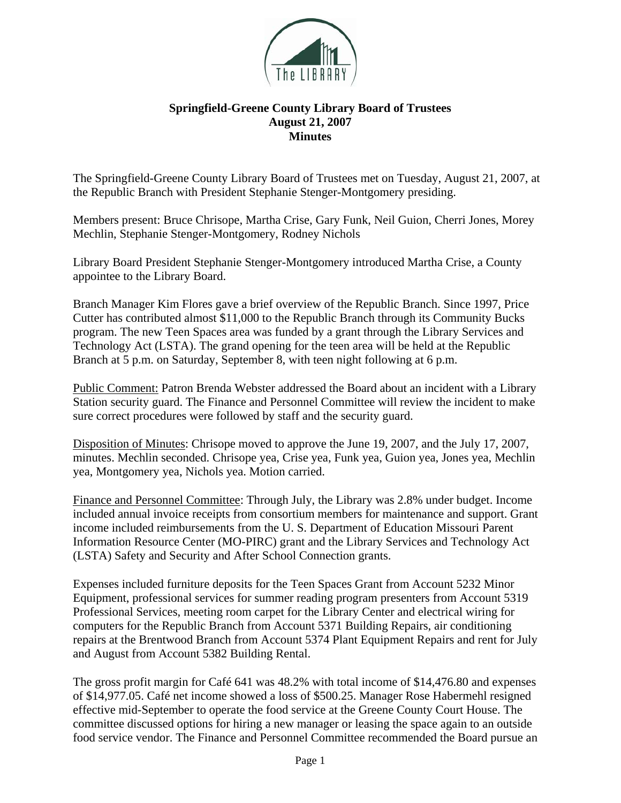

## **Springfield-Greene County Library Board of Trustees August 21, 2007 Minutes**

The Springfield-Greene County Library Board of Trustees met on Tuesday, August 21, 2007, at the Republic Branch with President Stephanie Stenger-Montgomery presiding.

Members present: Bruce Chrisope, Martha Crise, Gary Funk, Neil Guion, Cherri Jones, Morey Mechlin, Stephanie Stenger-Montgomery, Rodney Nichols

Library Board President Stephanie Stenger-Montgomery introduced Martha Crise, a County appointee to the Library Board.

Branch Manager Kim Flores gave a brief overview of the Republic Branch. Since 1997, Price Cutter has contributed almost \$11,000 to the Republic Branch through its Community Bucks program. The new Teen Spaces area was funded by a grant through the Library Services and Technology Act (LSTA). The grand opening for the teen area will be held at the Republic Branch at 5 p.m. on Saturday, September 8, with teen night following at 6 p.m.

Public Comment: Patron Brenda Webster addressed the Board about an incident with a Library Station security guard. The Finance and Personnel Committee will review the incident to make sure correct procedures were followed by staff and the security guard.

Disposition of Minutes: Chrisope moved to approve the June 19, 2007, and the July 17, 2007, minutes. Mechlin seconded. Chrisope yea, Crise yea, Funk yea, Guion yea, Jones yea, Mechlin yea, Montgomery yea, Nichols yea. Motion carried.

Finance and Personnel Committee: Through July, the Library was 2.8% under budget. Income included annual invoice receipts from consortium members for maintenance and support. Grant income included reimbursements from the U. S. Department of Education Missouri Parent Information Resource Center (MO-PIRC) grant and the Library Services and Technology Act (LSTA) Safety and Security and After School Connection grants.

Expenses included furniture deposits for the Teen Spaces Grant from Account 5232 Minor Equipment, professional services for summer reading program presenters from Account 5319 Professional Services, meeting room carpet for the Library Center and electrical wiring for computers for the Republic Branch from Account 5371 Building Repairs, air conditioning repairs at the Brentwood Branch from Account 5374 Plant Equipment Repairs and rent for July and August from Account 5382 Building Rental.

The gross profit margin for Café 641 was 48.2% with total income of \$14,476.80 and expenses of \$14,977.05. Café net income showed a loss of \$500.25. Manager Rose Habermehl resigned effective mid-September to operate the food service at the Greene County Court House. The committee discussed options for hiring a new manager or leasing the space again to an outside food service vendor. The Finance and Personnel Committee recommended the Board pursue an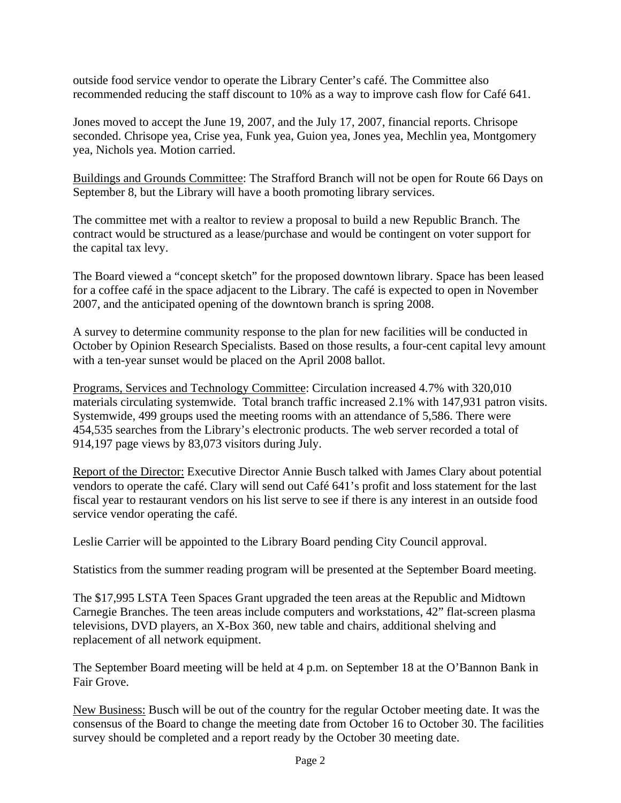outside food service vendor to operate the Library Center's café. The Committee also recommended reducing the staff discount to 10% as a way to improve cash flow for Café 641.

Jones moved to accept the June 19, 2007, and the July 17, 2007, financial reports. Chrisope seconded. Chrisope yea, Crise yea, Funk yea, Guion yea, Jones yea, Mechlin yea, Montgomery yea, Nichols yea. Motion carried.

Buildings and Grounds Committee: The Strafford Branch will not be open for Route 66 Days on September 8, but the Library will have a booth promoting library services.

The committee met with a realtor to review a proposal to build a new Republic Branch. The contract would be structured as a lease/purchase and would be contingent on voter support for the capital tax levy.

The Board viewed a "concept sketch" for the proposed downtown library. Space has been leased for a coffee café in the space adjacent to the Library. The café is expected to open in November 2007, and the anticipated opening of the downtown branch is spring 2008.

A survey to determine community response to the plan for new facilities will be conducted in October by Opinion Research Specialists. Based on those results, a four-cent capital levy amount with a ten-year sunset would be placed on the April 2008 ballot.

Programs, Services and Technology Committee: Circulation increased 4.7% with 320,010 materials circulating systemwide. Total branch traffic increased 2.1% with 147,931 patron visits. Systemwide, 499 groups used the meeting rooms with an attendance of 5,586. There were 454,535 searches from the Library's electronic products. The web server recorded a total of 914,197 page views by 83,073 visitors during July.

Report of the Director: Executive Director Annie Busch talked with James Clary about potential vendors to operate the café. Clary will send out Café 641's profit and loss statement for the last fiscal year to restaurant vendors on his list serve to see if there is any interest in an outside food service vendor operating the café.

Leslie Carrier will be appointed to the Library Board pending City Council approval.

Statistics from the summer reading program will be presented at the September Board meeting.

The \$17,995 LSTA Teen Spaces Grant upgraded the teen areas at the Republic and Midtown Carnegie Branches. The teen areas include computers and workstations, 42" flat-screen plasma televisions, DVD players, an X-Box 360, new table and chairs, additional shelving and replacement of all network equipment.

The September Board meeting will be held at 4 p.m. on September 18 at the O'Bannon Bank in Fair Grove.

New Business: Busch will be out of the country for the regular October meeting date. It was the consensus of the Board to change the meeting date from October 16 to October 30. The facilities survey should be completed and a report ready by the October 30 meeting date.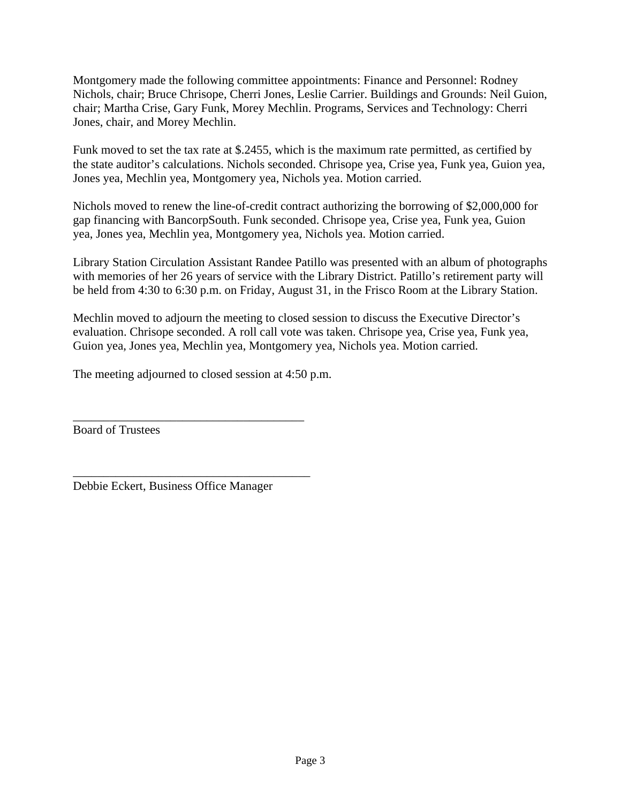Montgomery made the following committee appointments: Finance and Personnel: Rodney Nichols, chair; Bruce Chrisope, Cherri Jones, Leslie Carrier. Buildings and Grounds: Neil Guion, chair; Martha Crise, Gary Funk, Morey Mechlin. Programs, Services and Technology: Cherri Jones, chair, and Morey Mechlin.

Funk moved to set the tax rate at \$.2455, which is the maximum rate permitted, as certified by the state auditor's calculations. Nichols seconded. Chrisope yea, Crise yea, Funk yea, Guion yea, Jones yea, Mechlin yea, Montgomery yea, Nichols yea. Motion carried.

Nichols moved to renew the line-of-credit contract authorizing the borrowing of \$2,000,000 for gap financing with BancorpSouth. Funk seconded. Chrisope yea, Crise yea, Funk yea, Guion yea, Jones yea, Mechlin yea, Montgomery yea, Nichols yea. Motion carried.

Library Station Circulation Assistant Randee Patillo was presented with an album of photographs with memories of her 26 years of service with the Library District. Patillo's retirement party will be held from 4:30 to 6:30 p.m. on Friday, August 31, in the Frisco Room at the Library Station.

Mechlin moved to adjourn the meeting to closed session to discuss the Executive Director's evaluation. Chrisope seconded. A roll call vote was taken. Chrisope yea, Crise yea, Funk yea, Guion yea, Jones yea, Mechlin yea, Montgomery yea, Nichols yea. Motion carried.

The meeting adjourned to closed session at 4:50 p.m.

\_\_\_\_\_\_\_\_\_\_\_\_\_\_\_\_\_\_\_\_\_\_\_\_\_\_\_\_\_\_\_\_\_\_\_\_\_\_

\_\_\_\_\_\_\_\_\_\_\_\_\_\_\_\_\_\_\_\_\_\_\_\_\_\_\_\_\_\_\_\_\_\_\_\_\_\_\_

Board of Trustees

Debbie Eckert, Business Office Manager